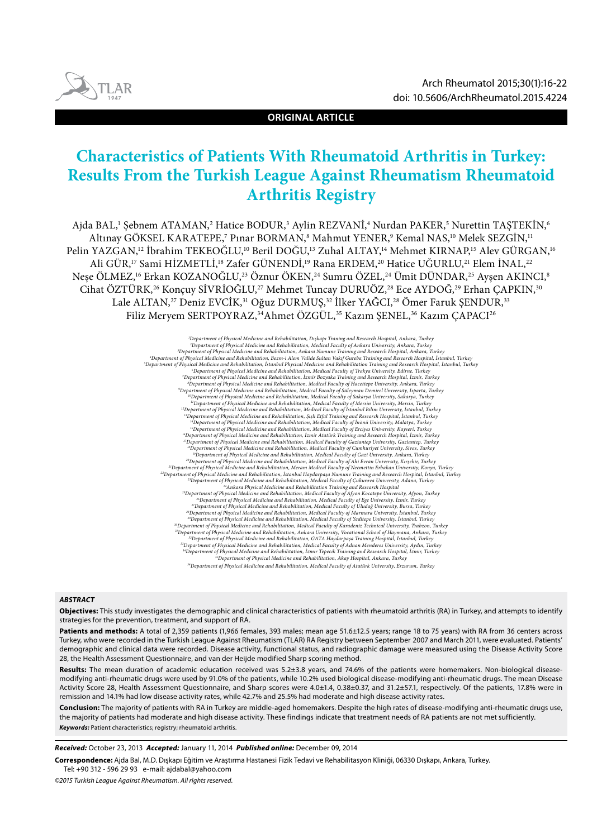

**ORIGINAL ARTICLE**

# **Characteristics of Patients With Rheumatoid Arthritis in Turkey: Results From the Turkish League Against Rheumatism Rheumatoid Arthritis Registry**

Ajda BAL,' Şebnem ATAMAN,<sup>2</sup> Hatice BODUR,<sup>3</sup> Aylin REZVANI,<sup>4</sup> Nurdan PAKER,<sup>5</sup> Nurettin TAŞTEKIN,6 Altınay GOKSEL KARATEPE,7 Pınar BORMAN,8 Mahmut YENER,9 Kemal NAS,10 Melek SEZGIN,11 Pelin YAZGAN,<sup>12</sup> İbrahim TEKEOĞLU,<sup>10</sup> Beril DOĞU,<sup>13</sup> Zuhal ALTAY,<sup>14</sup> Mehmet KIRNAP,<sup>15</sup> Alev GÜRGAN,<sup>16</sup> Ali GÜR,<sup>17</sup> Sami HİZMETLİ,<sup>18</sup> Zafer GÜNENDİ,<sup>19</sup> Rana ERDEM,<sup>20</sup> Hatice UĞURLU,<sup>21</sup> Elem İNAL,<sup>22</sup> Neşe ÖLMEZ,16 Erkan KOZANOĞLU,23 Öznur ÖKEN,24 Sumru ÖZEL,24 Ümit DÜNDAR,25 Ayşen AKINCI,8 Cihat ÖZTÜRK,<sup>26</sup> Konçuy SİVRİOĞLU,<sup>27</sup> Mehmet Tuncay DURUÖZ,<sup>28</sup> Ece AYDOĞ,<sup>29</sup> Erhan ÇAPKIN,<sup>30</sup> Lale ALTAN,<sup>27</sup> Deniz EVCİK,<sup>31</sup> Oğuz DURMUŞ,<sup>32</sup> İlker YAĞCI,<sup>28</sup> Ömer Faruk ŞENDUR,<sup>33</sup> Filiz Meryem SERTPOYRAZ,<sup>34</sup>Ahmet ÖZGÜL,<sup>35</sup> Kazım SENEL,<sup>36</sup> Kazım CAPACI<sup>26</sup>

> *1 Department of Physical Medicine and Rehabilitation, Dışkapı Traning and Research Hospital, Ankara, Turkey* Department of Physical Medicine and Rehabilitation, Medical Faculty of Ankara University, Ankara, Turkey<br>Department of Physical Medicine and Rehabilitation, Ankara Numune Training and Research Hospital, Ankara, Turkey<br>Depa Department of Physical Medicine and Rehabilitation, Istanbul Physical Medicine and Rehabilitation Training and Research Hospital, Istanbul, Turkey\*<br>Department of Physical Medicine and Rehabilitation, Media (15 colling Raky Department of Physical Medicine and Rehabilitation, Medical Faculty of Hacettepe University, Ankara, Turkey»<br>Department of Physical Medicine and Rehabilitation, Medical Faculty of Süleyman Demirel University, Isparta, Turk "Department of Physical Medicine and Rehabilitation, Medical Faculty of Mersin University, Mersin, Turkey"<br>"Department of Physical Medicine and Rehabilitation, Medical Faculty of Istanbul Bilim University, Istanbul, Turkey *14Department of Physical Medicine and Rehabilitation, Medical Faculty of İnönü University, Malatya, Turkey* <sup>53</sup>Department of Physical Medicine and Rehabilitation, Medical Faculty of Erciyes University, Kayseri, Turkey<br><sup>64</sup>Department of Physical Medicine and Rehabilitation, Izmir Atatürk Training and Research Hospital, Izmir, Tu PDepartment of Physical Medicine and Rehabilitation, Medical Faculty of Cumhuriyet University, Sivas, Turkey"<br>PDepartment of Physical Medicine and Rehabilitation, Medical Faculty of Gazi University, Ankara, Turkey"<br>PDepart PDepartment of Physical Medicine and Rehabilitation, Meram Medical Faculty of Necmettin Erbakan University, Konya, Turkey: "<br>PDepartment of Physical Medicine and Rehabilitation, Istanbul Haydarpaşa Numune Training and Rese <sup>24</sup>Ankara Physical Medicine and Rehabilitation Training and Research Hospital<br><sup>25</sup>Department of Physical Medicine and Rehabilitation, Medical Faculty of Afyon, Turkey University, Afyon, Turkey<br>19 Pepartment of Physical Me <sup>27</sup>Department of Physical Medicine and Rehabilitation, Medical Faculty of Uludağ University, Bursa, Turkey<br><sup>28</sup>Department of Physical Medicine and Rehabilitation, Medical Faculty of Marmara University, İstanbul, Turkey<br><sup>2</sup> Department of Physical Medicine and Rehabilitation, Ankara University, Vocational School of Haymana, Ankara, Turkey"<br>Department of Physical Medicine and Rehabilitation, GATA Haydarpaşa Training Hospital, İstanbul, Turkey"<br> *34Department of Physical Medicine and Rehabilitation, İzmir Tepecik Training and Research Hospital, İzmir, Turkey 35Department of Physical Medicine and Rehabilitation, Akay Hospital, Ankara, Turkey 36Department of Physical Medicine and Rehabilitation, Medical Faculty of Atatürk University, Erzurum, Turkey*

#### *ABSTRACT*

**Objectives:** This study investigates the demographic and clinical characteristics of patients with rheumatoid arthritis (RA) in Turkey, and attempts to identify strategies for the prevention, treatment, and support of RA.

Patients and methods: A total of 2,359 patients (1,966 females, 393 males; mean age 51.6±12.5 years; range 18 to 75 years) with RA from 36 centers across Turkey, who were recorded in the Turkish League Against Rheumatism (TLAR) RA Registry between September 2007 and March 2011, were evaluated. Patients' demographic and clinical data were recorded. Disease activity, functional status, and radiographic damage were measured using the Disease Activity Score 28, the Health Assessment Questionnaire, and van der Heijde modified Sharp scoring method.

**Results:** The mean duration of academic education received was 5.2±3.8 years, and 74.6% of the patients were homemakers. Non-biological diseasemodifying anti-rheumatic drugs were used by 91.0% of the patients, while 10.2% used biological disease-modifying anti-rheumatic drugs. The mean Disease Activity Score 28, Health Assessment Questionnaire, and Sharp scores were 4.0±1.4, 0.38±0.37, and 31.2±57.1, respectively. Of the patients, 17.8% were in remission and 14.1% had low disease activity rates, while 42.7% and 25.5% had moderate and high disease activity rates.

**Conclusion:** The majority of patients with RA in Turkey are middle-aged homemakers. Despite the high rates of disease-modifying anti-rheumatic drugs use, the majority of patients had moderate and high disease activity. These findings indicate that treatment needs of RA patients are not met sufficiently. *Keywords:* Patient characteristics; registry; rheumatoid arthritis.

*Received:* October 23, 2013 *Accepted:* January 11, 2014 *Published online:* December 09, 2014

**Correspondence:** Ajda Bal, M.D. Dışkapı Eğitim ve Araştırma Hastanesi Fizik Tedavi ve Rehabilitasyon Kliniği, 06330 Dışkapı, Ankara, Turkey.

Tel: +90 312 - 596 29 93 e-mail: ajdabal@yahoo.com

*©2015 Turkish League Against Rheumatism. All rights reserved.*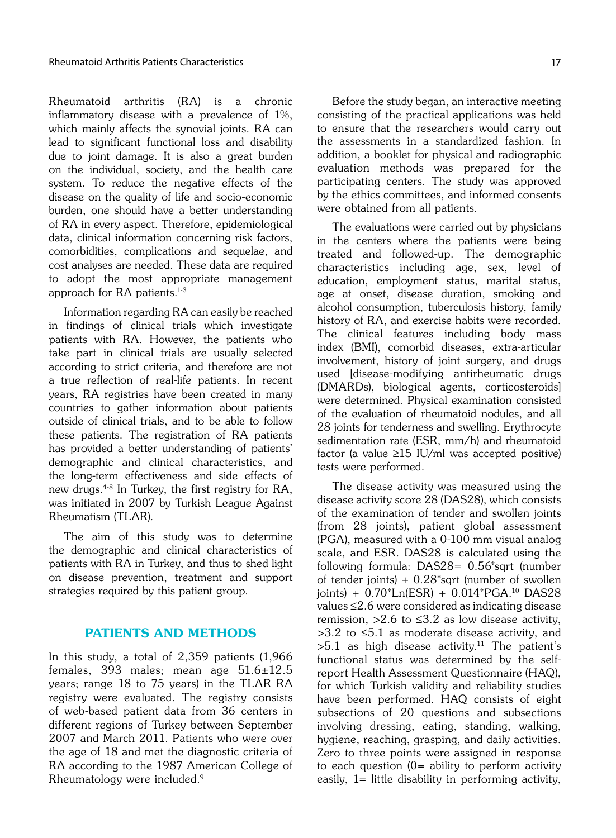Rheumatoid arthritis (RA) is a chronic inflammatory disease with a prevalence of 1%, which mainly affects the synovial joints. RA can lead to significant functional loss and disability due to joint damage. It is also a great burden on the individual, society, and the health care system. To reduce the negative effects of the disease on the quality of life and socio-economic burden, one should have a better understanding of RA in every aspect. Therefore, epidemiological data, clinical information concerning risk factors, comorbidities, complications and sequelae, and cost analyses are needed. These data are required to adopt the most appropriate management approach for RA patients.<sup>1-3</sup>

Information regarding RA can easily be reached in findings of clinical trials which investigate patients with RA. However, the patients who take part in clinical trials are usually selected according to strict criteria, and therefore are not a true reflection of real-life patients. In recent years, RA registries have been created in many countries to gather information about patients outside of clinical trials, and to be able to follow these patients. The registration of RA patients has provided a better understanding of patients' demographic and clinical characteristics, and the long-term effectiveness and side effects of new drugs.4-8 In Turkey, the first registry for RA, was initiated in 2007 by Turkish League Against Rheumatism (TLAR).

The aim of this study was to determine the demographic and clinical characteristics of patients with RA in Turkey, and thus to shed light on disease prevention, treatment and support strategies required by this patient group.

# PATIENTS AND METHODS

In this study, a total of 2,359 patients (1,966 females, 393 males; mean age 51.6±12.5 years; range 18 to 75 years) in the TLAR RA registry were evaluated. The registry consists of web-based patient data from 36 centers in different regions of Turkey between September 2007 and March 2011. Patients who were over the age of 18 and met the diagnostic criteria of RA according to the 1987 American College of Rheumatology were included.9

Before the study began, an interactive meeting consisting of the practical applications was held to ensure that the researchers would carry out the assessments in a standardized fashion. In addition, a booklet for physical and radiographic evaluation methods was prepared for the participating centers. The study was approved by the ethics committees, and informed consents were obtained from all patients.

The evaluations were carried out by physicians in the centers where the patients were being treated and followed-up. The demographic characteristics including age, sex, level of education, employment status, marital status, age at onset, disease duration, smoking and alcohol consumption, tuberculosis history, family history of RA, and exercise habits were recorded. The clinical features including body mass index (BMI), comorbid diseases, extra-articular involvement, history of joint surgery, and drugs used [disease-modifying antirheumatic drugs (DMARDs), biological agents, corticosteroids] were determined. Physical examination consisted of the evaluation of rheumatoid nodules, and all 28 joints for tenderness and swelling. Erythrocyte sedimentation rate (ESR, mm/h) and rheumatoid factor (a value  $\geq$ 15 IU/ml was accepted positive) tests were performed.

The disease activity was measured using the disease activity score 28 (DAS28), which consists of the examination of tender and swollen joints (from 28 joints), patient global assessment (PGA), measured with a 0-100 mm visual analog scale, and ESR. DAS28 is calculated using the following formula: DAS28= 0.56\*sqrt (number of tender joints)  $+ 0.28$ \*sqrt (number of swollen joints) + 0.70\*Ln(ESR) + 0.014\*PGA.10 DAS28 values ≤2.6 were considered as indicating disease remission,  $>2.6$  to  $\leq$ 3.2 as low disease activity.  $>3.2$  to  $\leq 5.1$  as moderate disease activity, and  $>5.1$  as high disease activity.<sup>11</sup> The patient's functional status was determined by the selfreport Health Assessment Questionnaire (HAQ), for which Turkish validity and reliability studies have been performed. HAQ consists of eight subsections of 20 questions and subsections involving dressing, eating, standing, walking, hygiene, reaching, grasping, and daily activities. Zero to three points were assigned in response to each question  $(0=$  ability to perform activity easily, 1= little disability in performing activity,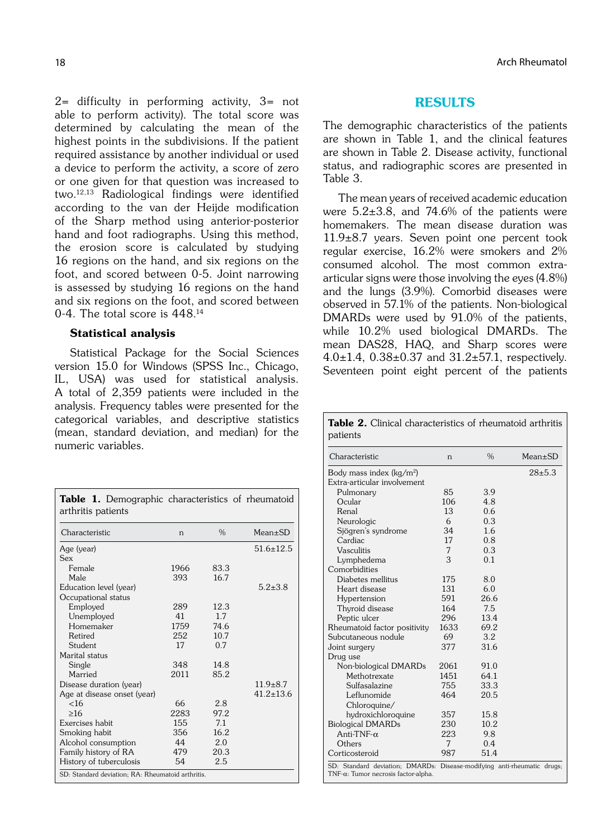2= difficulty in performing activity, 3= not able to perform activity). The total score was determined by calculating the mean of the highest points in the subdivisions. If the patient required assistance by another individual or used a device to perform the activity, a score of zero or one given for that question was increased to two.12,13 Radiological findings were identified according to the van der Heijde modification of the Sharp method using anterior-posterior hand and foot radiographs. Using this method, the erosion score is calculated by studying 16 regions on the hand, and six regions on the foot, and scored between 0-5. Joint narrowing is assessed by studying 16 regions on the hand and six regions on the foot, and scored between 0-4. The total score is 448.14

### Statistical analysis

Statistical Package for the Social Sciences version 15.0 for Windows (SPSS Inc., Chicago, IL, USA) was used for statistical analysis. A total of 2,359 patients were included in the analysis. Frequency tables were presented for the categorical variables, and descriptive statistics (mean, standard deviation, and median) for the numeric variables.

| <b>Table 1.</b> Demographic characteristics of rheumatoid<br>arthritis patients |      |               |                 |  |  |  |
|---------------------------------------------------------------------------------|------|---------------|-----------------|--|--|--|
| Characteristic                                                                  | n    | $\frac{0}{0}$ | $Mean \pm SD$   |  |  |  |
| Age (year)                                                                      |      |               | $51.6 \pm 12.5$ |  |  |  |
| Sex                                                                             |      |               |                 |  |  |  |
| Female                                                                          | 1966 | 83.3          |                 |  |  |  |
| Male                                                                            | 393  | 16.7          |                 |  |  |  |
| Education level (year)                                                          |      |               | $5.2 + 3.8$     |  |  |  |
| Occupational status                                                             |      |               |                 |  |  |  |
| Employed                                                                        | 289  | 12.3          |                 |  |  |  |
| Unemployed                                                                      | 41   | 17            |                 |  |  |  |
| Homemaker                                                                       | 1759 | 74.6          |                 |  |  |  |
| Retired                                                                         | 252  | 10.7          |                 |  |  |  |
| Student                                                                         | 17   | 0.7           |                 |  |  |  |
| Marital status                                                                  |      |               |                 |  |  |  |
| Single                                                                          | 348  | 14.8          |                 |  |  |  |
| Married                                                                         | 2011 | 85.2          |                 |  |  |  |
| Disease duration (year)                                                         |      |               | $11.9 \pm 8.7$  |  |  |  |
| Age at disease onset (year)                                                     |      |               | $41.2 \pm 13.6$ |  |  |  |
| <16                                                                             | 66   | 2.8           |                 |  |  |  |
| >16                                                                             | 2283 | 97.2          |                 |  |  |  |
| Exercises habit                                                                 | 155  | 7.1           |                 |  |  |  |
| Smoking habit                                                                   | 356  | 16.2          |                 |  |  |  |
| Alcohol consumption                                                             | 44   | 2.0           |                 |  |  |  |
| Family history of RA                                                            | 479  | 20.3          |                 |  |  |  |
| History of tuberculosis                                                         | 54   | 2.5           |                 |  |  |  |
| SD: Standard deviation; RA: Rheumatoid arthritis.                               |      |               |                 |  |  |  |

18 **Arch Rheumatol** 2014 **Arch Rheumatol** 2014 **Arch Rheumatol** 2014 **Arch Rheumatol** 

## RESULTS

The demographic characteristics of the patients are shown in Table 1, and the clinical features are shown in Table 2. Disease activity, functional status, and radiographic scores are presented in Table 3.

The mean years of received academic education were 5.2±3.8, and 74.6% of the patients were homemakers. The mean disease duration was 11.9±8.7 years. Seven point one percent took regular exercise, 16.2% were smokers and 2% consumed alcohol. The most common extraarticular signs were those involving the eyes (4.8%) and the lungs (3.9%). Comorbid diseases were observed in 57.1% of the patients. Non-biological DMARDs were used by 91.0% of the patients, while 10.2% used biological DMARDs. The mean DAS28, HAQ, and Sharp scores were 4.0 $\pm$ 1.4, 0.38 $\pm$ 0.37 and 31.2 $\pm$ 57.1, respectively. Seventeen point eight percent of the patients

Table 2. Clinical characteristics of rheumatoid arthritis patients

| Characteristic                                                                                                             | n    | $\frac{0}{0}$ | $Mean \pm SD$ |  |  |  |
|----------------------------------------------------------------------------------------------------------------------------|------|---------------|---------------|--|--|--|
| Body mass index (kg/m <sup>2</sup> )                                                                                       |      |               | $28 + 5.3$    |  |  |  |
| Extra-articular involvement                                                                                                |      |               |               |  |  |  |
| Pulmonary                                                                                                                  | 85   | 3.9           |               |  |  |  |
| Ocular                                                                                                                     | 106  | 4.8           |               |  |  |  |
| Renal                                                                                                                      | 13   | 0.6           |               |  |  |  |
| Neurologic                                                                                                                 | 6    | 0.3           |               |  |  |  |
| Sjögren's syndrome                                                                                                         | 34   | 1.6           |               |  |  |  |
| Cardiac                                                                                                                    | 17   | 0.8           |               |  |  |  |
| <b>Vasculitis</b>                                                                                                          | 7    | 0.3           |               |  |  |  |
| Lymphedema                                                                                                                 | 3    | 0.1           |               |  |  |  |
| Comorbidities                                                                                                              |      |               |               |  |  |  |
| Diabetes mellitus                                                                                                          | 175  | 8.0           |               |  |  |  |
| Heart disease                                                                                                              | 131  | 6.0           |               |  |  |  |
| Hypertension                                                                                                               | 591  | 26.6          |               |  |  |  |
| Thyroid disease                                                                                                            | 164  | 7.5           |               |  |  |  |
| Peptic ulcer                                                                                                               | 296  | 13.4          |               |  |  |  |
| Rheumatoid factor positivity                                                                                               | 1633 | 69.2          |               |  |  |  |
| Subcutaneous nodule                                                                                                        | 69   | 3.2           |               |  |  |  |
| Joint surgery                                                                                                              | 377  | 31.6          |               |  |  |  |
| Drug use                                                                                                                   |      |               |               |  |  |  |
| Non-biological DMARDs                                                                                                      | 2061 | 91.0          |               |  |  |  |
| Methotrexate                                                                                                               | 1451 | 64.1          |               |  |  |  |
| Sulfasalazine                                                                                                              | 755  | 33.3          |               |  |  |  |
| Leflunomide                                                                                                                | 464  | 20.5          |               |  |  |  |
| Chloroquine/                                                                                                               |      |               |               |  |  |  |
| hydroxichloroquine                                                                                                         | 357  | 15.8          |               |  |  |  |
| <b>Biological DMARDs</b>                                                                                                   | 230  | 10.2          |               |  |  |  |
| Anti-TNF- $\alpha$                                                                                                         | 223  | 9.8           |               |  |  |  |
| Others                                                                                                                     | 7    | 0.4           |               |  |  |  |
| Corticosteroid                                                                                                             | 987  | 51.4          |               |  |  |  |
| SD: Standard deviation; DMARDs: Disease-modifying anti-rheumatic drugs;<br>$TNF$ - $\alpha$ : Tumor necrosis factor-alpha. |      |               |               |  |  |  |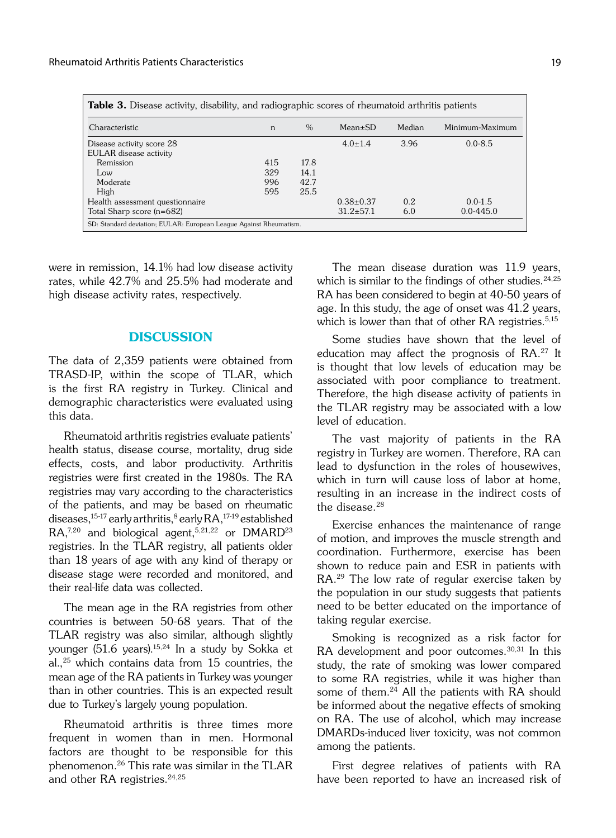| <b>Table 3.</b> Disease activity, disability, and radiographic scores of rheumatoid arthritis patients |            |               |                                    |            |                              |  |  |
|--------------------------------------------------------------------------------------------------------|------------|---------------|------------------------------------|------------|------------------------------|--|--|
| Characteristic                                                                                         | n          | $\frac{0}{0}$ | $Mean \pm SD$                      | Median     | Minimum-Maximum              |  |  |
| Disease activity score 28<br>EULAR disease activity                                                    |            |               | $4.0 \pm 1.4$                      | 3.96       | $0.0 - 8.5$                  |  |  |
| Remission<br>Low                                                                                       | 415<br>329 | 17.8<br>14.1  |                                    |            |                              |  |  |
| Moderate<br>High                                                                                       | 996<br>595 | 42.7<br>25.5  |                                    |            |                              |  |  |
| Health assessment questionnaire<br>Total Sharp score (n=682)                                           |            |               | $0.38 \pm 0.37$<br>$31.2 \pm 57.1$ | 0.2<br>6.0 | $0.0 - 1.5$<br>$0.0 - 445.0$ |  |  |
| SD: Standard deviation; EULAR: European League Against Rheumatism.                                     |            |               |                                    |            |                              |  |  |

were in remission, 14.1% had low disease activity rates, while 42.7% and 25.5% had moderate and high disease activity rates, respectively.

## **DISCUSSION**

The data of 2,359 patients were obtained from TRASD-IP, within the scope of TLAR, which is the first RA registry in Turkey. Clinical and demographic characteristics were evaluated using this data.

Rheumatoid arthritis registries evaluate patients' health status, disease course, mortality, drug side effects, costs, and labor productivity. Arthritis registries were first created in the 1980s. The RA registries may vary according to the characteristics of the patients, and may be based on rheumatic diseases,  $15-17$  early arthritis,  $8$  early RA,  $17-19$  established RA,<sup>7,20</sup> and biological agent,<sup>5,21,22</sup> or DMARD<sup>23</sup> registries. In the TLAR registry, all patients older than 18 years of age with any kind of therapy or disease stage were recorded and monitored, and their real-life data was collected.

The mean age in the RA registries from other countries is between 50-68 years. That of the TLAR registry was also similar, although slightly younger (51.6 years).15,24 In a study by Sokka et al.,25 which contains data from 15 countries, the mean age of the RA patients in Turkey was younger than in other countries. This is an expected result due to Turkey's largely young population.

Rheumatoid arthritis is three times more frequent in women than in men. Hormonal factors are thought to be responsible for this phenomenon.26 This rate was similar in the TLAR and other RA registries.<sup>24,25</sup>

The mean disease duration was 11.9 years, which is similar to the findings of other studies. $24,25$ RA has been considered to begin at 40-50 years of age. In this study, the age of onset was 41.2 years, which is lower than that of other RA registries.<sup>5,15</sup>

Some studies have shown that the level of education may affect the prognosis of RA.27 It is thought that low levels of education may be associated with poor compliance to treatment. Therefore, the high disease activity of patients in the TLAR registry may be associated with a low level of education.

The vast majority of patients in the RA registry in Turkey are women. Therefore, RA can lead to dysfunction in the roles of housewives, which in turn will cause loss of labor at home, resulting in an increase in the indirect costs of the disease.28

Exercise enhances the maintenance of range of motion, and improves the muscle strength and coordination. Furthermore, exercise has been shown to reduce pain and ESR in patients with RA.29 The low rate of regular exercise taken by the population in our study suggests that patients need to be better educated on the importance of taking regular exercise.

Smoking is recognized as a risk factor for RA development and poor outcomes.<sup>30,31</sup> In this study, the rate of smoking was lower compared to some RA registries, while it was higher than some of them.<sup>24</sup> All the patients with RA should be informed about the negative effects of smoking on RA. The use of alcohol, which may increase DMARDs-induced liver toxicity, was not common among the patients.

First degree relatives of patients with RA have been reported to have an increased risk of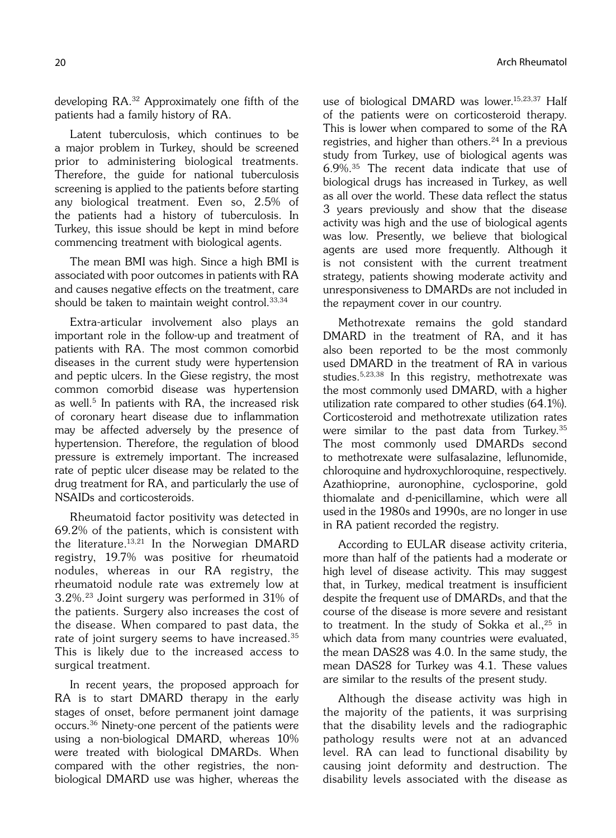developing RA.32 Approximately one fifth of the patients had a family history of RA.

Latent tuberculosis, which continues to be a major problem in Turkey, should be screened prior to administering biological treatments. Therefore, the guide for national tuberculosis screening is applied to the patients before starting any biological treatment. Even so, 2.5% of the patients had a history of tuberculosis. In Turkey, this issue should be kept in mind before commencing treatment with biological agents.

The mean BMI was high. Since a high BMI is associated with poor outcomes in patients with RA and causes negative effects on the treatment, care should be taken to maintain weight control.33,34

Extra-articular involvement also plays an important role in the follow-up and treatment of patients with RA. The most common comorbid diseases in the current study were hypertension and peptic ulcers. In the Giese registry, the most common comorbid disease was hypertension as well.<sup>5</sup> In patients with RA, the increased risk of coronary heart disease due to inflammation may be affected adversely by the presence of hypertension. Therefore, the regulation of blood pressure is extremely important. The increased rate of peptic ulcer disease may be related to the drug treatment for RA, and particularly the use of NSAIDs and corticosteroids.

Rheumatoid factor positivity was detected in 69.2% of the patients, which is consistent with the literature.<sup>13,21</sup> In the Norwegian DMARD registry, 19.7% was positive for rheumatoid nodules, whereas in our RA registry, the rheumatoid nodule rate was extremely low at 3.2%.23 Joint surgery was performed in 31% of the patients. Surgery also increases the cost of the disease. When compared to past data, the rate of joint surgery seems to have increased.<sup>35</sup> This is likely due to the increased access to surgical treatment.

In recent years, the proposed approach for RA is to start DMARD therapy in the early stages of onset, before permanent joint damage occurs.36 Ninety-one percent of the patients were using a non-biological DMARD, whereas 10% were treated with biological DMARDs. When compared with the other registries, the nonbiological DMARD use was higher, whereas the use of biological DMARD was lower.15,23,37 Half of the patients were on corticosteroid therapy. This is lower when compared to some of the RA registries, and higher than others.<sup>24</sup> In a previous study from Turkey, use of biological agents was 6.9%.35 The recent data indicate that use of biological drugs has increased in Turkey, as well as all over the world. These data reflect the status 3 years previously and show that the disease activity was high and the use of biological agents was low. Presently, we believe that biological agents are used more frequently. Although it is not consistent with the current treatment strategy, patients showing moderate activity and unresponsiveness to DMARDs are not included in the repayment cover in our country.

Methotrexate remains the gold standard DMARD in the treatment of RA, and it has also been reported to be the most commonly used DMARD in the treatment of RA in various studies.5,23,38 In this registry, methotrexate was the most commonly used DMARD, with a higher utilization rate compared to other studies (64.1%). Corticosteroid and methotrexate utilization rates were similar to the past data from Turkey.35 The most commonly used DMARDs second to methotrexate were sulfasalazine, leflunomide, chloroquine and hydroxychloroquine, respectively. Azathioprine, auronophine, cyclosporine, gold thiomalate and d-penicillamine, which were all used in the 1980s and 1990s, are no longer in use in RA patient recorded the registry.

According to EULAR disease activity criteria, more than half of the patients had a moderate or high level of disease activity. This may suggest that, in Turkey, medical treatment is insufficient despite the frequent use of DMARDs, and that the course of the disease is more severe and resistant to treatment. In the study of Sokka et al., $25$  in which data from many countries were evaluated, the mean DAS28 was 4.0. In the same study, the mean DAS28 for Turkey was 4.1. These values are similar to the results of the present study.

Although the disease activity was high in the majority of the patients, it was surprising that the disability levels and the radiographic pathology results were not at an advanced level. RA can lead to functional disability by causing joint deformity and destruction. The disability levels associated with the disease as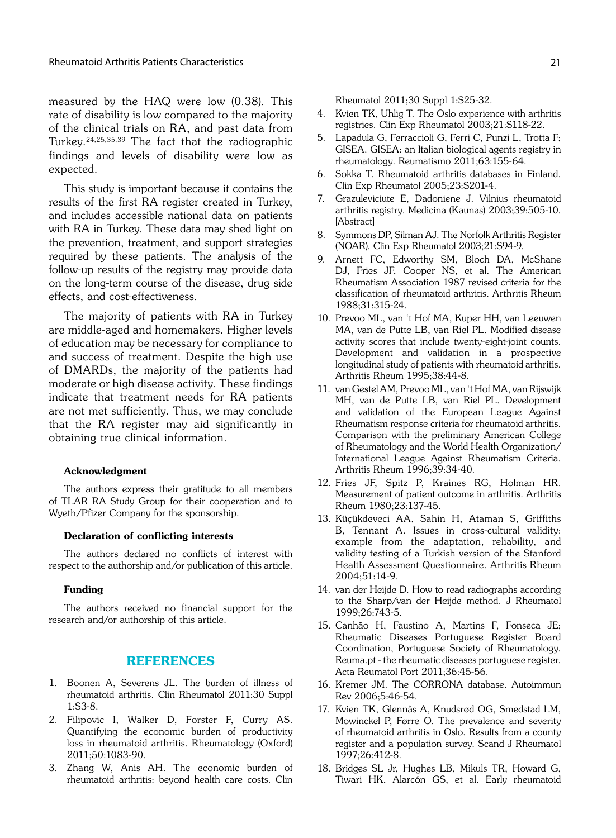measured by the HAQ were low (0.38). This rate of disability is low compared to the majority of the clinical trials on RA, and past data from Turkey.24,25,35,39 The fact that the radiographic findings and levels of disability were low as expected.

This study is important because it contains the results of the first RA register created in Turkey, and includes accessible national data on patients with RA in Turkey. These data may shed light on the prevention, treatment, and support strategies required by these patients. The analysis of the follow-up results of the registry may provide data on the long-term course of the disease, drug side effects, and cost-effectiveness.

The majority of patients with RA in Turkey are middle-aged and homemakers. Higher levels of education may be necessary for compliance to and success of treatment. Despite the high use of DMARDs, the majority of the patients had moderate or high disease activity. These findings indicate that treatment needs for RA patients are not met sufficiently. Thus, we may conclude that the RA register may aid significantly in obtaining true clinical information.

#### Acknowledgment

The authors express their gratitude to all members of TLAR RA Study Group for their cooperation and to Wyeth/Pfizer Company for the sponsorship.

#### Declaration of conflicting interests

The authors declared no conflicts of interest with respect to the authorship and/or publication of this article.

#### Funding

The authors received no financial support for the research and/or authorship of this article.

#### REFERENCES

- 1. Boonen A, Severens JL. The burden of illness of rheumatoid arthritis. Clin Rheumatol 2011;30 Suppl 1:S3-8.
- 2. Filipovic I, Walker D, Forster F, Curry AS. Quantifying the economic burden of productivity loss in rheumatoid arthritis. Rheumatology (Oxford) 2011;50:1083-90.
- 3. Zhang W, Anis AH. The economic burden of rheumatoid arthritis: beyond health care costs. Clin

Rheumatol 2011;30 Suppl 1:S25-32.

- 4. Kvien TK, Uhlig T. The Oslo experience with arthritis registries. Clin Exp Rheumatol 2003;21:S118-22.
- 5. Lapadula G, Ferraccioli G, Ferri C, Punzi L, Trotta F; GISEA. GISEA: an Italian biological agents registry in rheumatology. Reumatismo 2011;63:155-64.
- 6. Sokka T. Rheumatoid arthritis databases in Finland. Clin Exp Rheumatol 2005;23:S201-4.
- 7. Grazuleviciute E, Dadoniene J. Vilnius rheumatoid arthritis registry. Medicina (Kaunas) 2003;39:505-10. [Abstract]
- 8. Symmons DP, Silman AJ. The Norfolk Arthritis Register (NOAR). Clin Exp Rheumatol 2003;21:S94-9.
- 9. Arnett FC, Edworthy SM, Bloch DA, McShane DJ, Fries JF, Cooper NS, et al. The American Rheumatism Association 1987 revised criteria for the classification of rheumatoid arthritis. Arthritis Rheum 1988;31:315-24.
- 10. Prevoo ML, van 't Hof MA, Kuper HH, van Leeuwen MA, van de Putte LB, van Riel PL. Modified disease activity scores that include twenty-eight-joint counts. Development and validation in a prospective longitudinal study of patients with rheumatoid arthritis. Arthritis Rheum 1995;38:44-8.
- 11. van Gestel AM, Prevoo ML, van 't Hof MA, van Rijswijk MH, van de Putte LB, van Riel PL. Development and validation of the European League Against Rheumatism response criteria for rheumatoid arthritis. Comparison with the preliminary American College of Rheumatology and the World Health Organization/ International League Against Rheumatism Criteria. Arthritis Rheum 1996;39:34-40.
- 12. Fries JF, Spitz P, Kraines RG, Holman HR. Measurement of patient outcome in arthritis. Arthritis Rheum 1980;23:137-45.
- 13. Küçükdeveci AA, Sahin H, Ataman S, Griffiths B, Tennant A. Issues in cross-cultural validity: example from the adaptation, reliability, and validity testing of a Turkish version of the Stanford Health Assessment Questionnaire. Arthritis Rheum 2004;51:14-9.
- 14. van der Heijde D. How to read radiographs according to the Sharp/van der Heijde method. J Rheumatol 1999;26:743-5.
- 15. Canhão H, Faustino A, Martins F, Fonseca JE; Rheumatic Diseases Portuguese Register Board Coordination, Portuguese Society of Rheumatology. Reuma.pt - the rheumatic diseases portuguese register. Acta Reumatol Port 2011;36:45-56.
- 16. Kremer JM. The CORRONA database. Autoimmun Rev 2006;5:46-54.
- 17. Kvien TK, Glennås A, Knudsrød OG, Smedstad LM, Mowinckel P, Førre O. The prevalence and severity of rheumatoid arthritis in Oslo. Results from a county register and a population survey. Scand J Rheumatol 1997;26:412-8.
- 18. Bridges SL Jr, Hughes LB, Mikuls TR, Howard G, Tiwari HK, Alarcón GS, et al. Early rheumatoid